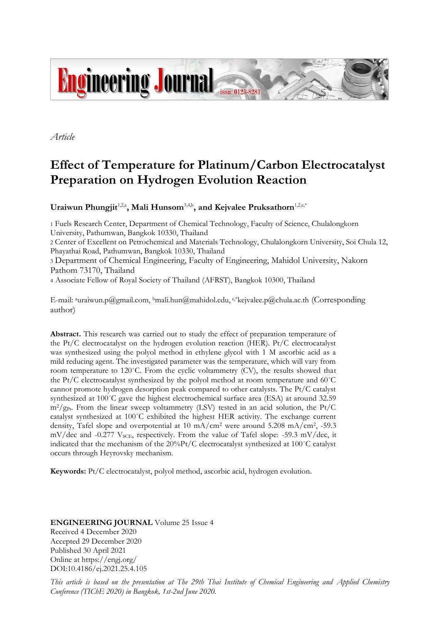

*Article*

# **Effect of Temperature for Platinum/Carbon Electrocatalyst Preparation on Hydrogen Evolution Reaction**

Uraiwun Phungjit<sup>1,2,a</sup>, Mali Hunsom<sup>3,4,b</sup>, and Kejvalee Pruksathorn<sup>1,2,c,\*</sup>

1 Fuels Research Center, Department of Chemical Technology, Faculty of Science, Chulalongkorn University, Pathumwan, Bangkok 10330, Thailand

2 Center of Excellent on Petrochemical and Materials Technology, Chulalongkorn University, Soi Chula 12, Phayathai Road, Pathumwan, Bangkok 10330, Thailand

<sup>3</sup> Department of Chemical Engineering, Faculty of Engineering, Mahidol University, Nakorn Pathom 73170, Thailand

4 Associate Fellow of Royal Society of Thailand (AFRST), Bangkok 10300, Thailand

E-mail: <sup>a</sup>uraiwun.p@gmail.com, <sup>b</sup>mali.hun@mahidol.edu, <sup>c,\*</sup>kejvalee.p@chula.ac.th (Corresponding author)

**Abstract.** This research was carried out to study the effect of preparation temperature of the Pt/C electrocatalyst on the hydrogen evolution reaction (HER). Pt/C electrocatalyst was synthesized using the polyol method in ethylene glycol with 1 M ascorbic acid as a mild reducing agent. The investigated parameter was the temperature, which will vary from room temperature to 120˚C. From the cyclic voltammetry (CV), the results showed that the Pt/C electrocatalyst synthesized by the polyol method at room temperature and 60˚C cannot promote hydrogen desorption peak compared to other catalysts. The Pt/C catalyst synthesized at 100°C gave the highest electrochemical surface area (ESA) at around 32.59  $m^2/g_{Pt}$ . From the linear sweep voltammetry (LSV) tested in an acid solution, the Pt/C catalyst synthesized at 100˚C exhibited the highest HER activity. The exchange current density, Tafel slope and overpotential at 10 mA/cm<sup>2</sup> were around 5.208 mA/cm<sup>2</sup> , -59.3 mV/dec and -0.277 V<sub>SCE</sub>, respectively. From the value of Tafel slope: -59.3 mV/dec, it indicated that the mechanism of the 20%Pt/C electrocatalyst synthesized at 100˚C catalyst occurs through Heyrovsky mechanism.

**Keywords:** Pt/C electrocatalyst, polyol method, ascorbic acid, hydrogen evolution.

**ENGINEERING JOURNAL** Volume 25 Issue 4 Received 4 December 2020 Accepted 29 December 2020 Published 30 April 2021 Online at https://engj.org/ DOI:10.4186/ej.2021.25.4.105

*This article is based on the presentation at The 29th Thai Institute of Chemical Engineering and Applied Chemistry Conference (TIChE 2020) in Bangkok, 1st-2nd June 2020.*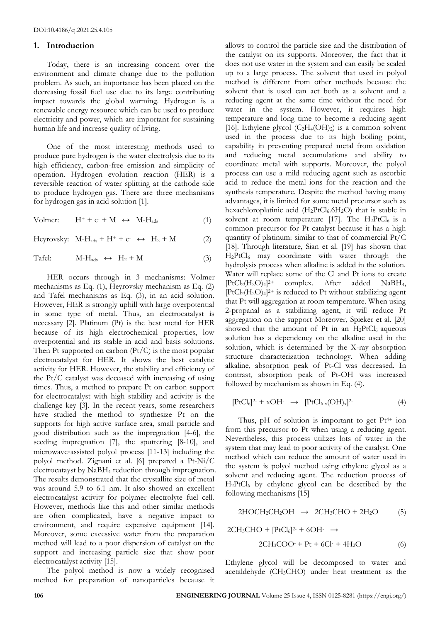#### **1. Introduction**

Today, there is an increasing concern over the environment and climate change due to the pollution problem. As such, an importance has been placed on the decreasing fossil fuel use due to its large contributing impact towards the global warming. Hydrogen is a renewable energy resource which can be used to produce electricity and power, which are important for sustaining human life and increase quality of living.

One of the most interesting methods used to produce pure hydrogen is the water electrolysis due to its high efficiency, carbon-free emission and simplicity of operation. Hydrogen evolution reaction (HER) is a reversible reaction of water splitting at the cathode side to produce hydrogen gas. There are three mechanisms for hydrogen gas in acid solution [1].

Volmer:  $H^+ + e^- + M \leftrightarrow M-H_{ads}$  (1)

Heyrovsky:  $M-H_{ads} + H^+ + e^- \leftrightarrow H_2 + M$  (2)

$$
Tafel: \t M-Hads \leftrightarrow H2 + M \t(3)
$$

HER occurs through in 3 mechanisms: Volmer mechanisms as Eq. (1), Heyrovsky mechanism as Eq. (2) and Tafel mechanisms as Eq. (3), in an acid solution. However, HER is strongly uphill with large overpotential in some type of metal. Thus, an electrocatalyst is necessary [2]. Platinum (Pt) is the best metal for HER because of its high electrochemical properties, low overpotential and its stable in acid and basis solutions. Then Pt supported on carbon  $(Pt/C)$  is the most popular electrocatalyst for HER. It shows the best catalytic activity for HER. However, the stability and efficiency of the Pt/C catalyst was deceased with increasing of using times. Thus, a method to prepare Pt on carbon support for electrocatalyst with high stability and activity is the challenge key [3]. In the recent years, some researchers have studied the method to synthesize Pt on the supports for high active surface area, small particle and good distribution such as the impregnation [4-6], the seeding impregnation [7], the sputtering [8-10], and microwave‐assisted polyol process [11-13] including the polyol method. Zignani et al. [6] prepared a Pt-Ni/C electrocatayst by NaBH<sup>4</sup> reduction through impregnation. The results demonstrated that the crystallite size of metal was around 5.9 to 6.1 nm. It also showed an excellent electrocatalyst activity for polymer electrolyte fuel cell. However, methods like this and other similar methods are often complicated, have a negative impact to environment, and require expensive equipment [14]. Moreover, some excessive water from the preparation method will lead to a poor dispersion of catalyst on the support and increasing particle size that show poor electrocatalyst activity [15].

The polyol method is now a widely recognised method for preparation of nanoparticles because it allows to control the particle size and the distribution of the catalyst on its supports. Moreover, the fact that it does not use water in the system and can easily be scaled up to a large process. The solvent that used in polyol method is different from other methods because the solvent that is used can act both as a solvent and a reducing agent at the same time without the need for water in the system. However, it requires high temperature and long time to become a reducing agent [16]. Ethylene glycol  $(C_2H_4(OH)_2)$  is a common solvent used in the process due to its high boiling point, capability in preventing prepared metal from oxidation and reducing metal accumulations and ability to coordinate metal with supports. Moreover, the polyol process can use a mild reducing agent such as ascorbic acid to reduce the metal ions for the reaction and the synthesis temperature. Despite the method having many advantages, it is limited for some metal precursor such as hexachloroplatinic acid  $(H_2PtCl_6.6H_2O)$  that is stable in solvent at room temperature [17]. The  $H_2PtCl_6$  is a common precursor for Pt catalyst because it has a high quantity of platinum: similar to that of commercial Pt/C [18]. Through literature, Sian et al. [19] has shown that H2PtCl<sup>6</sup> may coordinate with water through the hydrolysis process when alkaline is added in the solution. Water will replace some of the Cl and Pt ions to create [PtCl2(H2O)4] 2+ complex. After added NaBH4,  $[PtCl<sub>2</sub>(H<sub>2</sub>O)<sub>4</sub>]^{2+}$  is reduced to Pt without stabilizing agent that Pt will aggregation at room temperature. When using 2-propanal as a stabilizing agent, it will reduce Pt aggregation on the support Moreover, Spieker et al. [20] showed that the amount of Pt in an  $H_2PtCl_6$  aqueous solution has a dependency on the alkaline used in the solution, which is determined by the X-ray absorption structure characterization technology. When adding alkaline, absorption peak of Pt-Cl was decreased. In contrast, absorption peak of Pt-OH was increased followed by mechanism as shown in Eq. (4).

$$
[PtCl_6]^{2-} + xOH \rightarrow [PtCl_{6-x}(OH)_x]^{2-} \tag{4}
$$

Thus, pH of solution is important to get  $Pt^{4+}$  ion from this precursor to Pt when using a reducing agent. Nevertheless, this process utilizes lots of water in the system that may lead to poor activity of the catalyst. One method which can reduce the amount of water used in the system is polyol method using ethylene glycol as a solvent and reducing agent. The reduction process of  $H_2PtCl_6$  by ethylene glycol can be described by the following mechanisms [15]

$$
2HOCH_2CH_2OH \rightarrow 2CH_3CHO + 2H_2O \tag{5}
$$

 $2CH_3CHO + [PtCl_6]^{2-} + 6OH^- \rightarrow$ 

$$
2CH3COO+ Pt + 6Cl+ + 4H2O
$$
 (6)

Ethylene glycol will be decomposed to water and acetaldehyde (CH3CHO) under heat treatment as the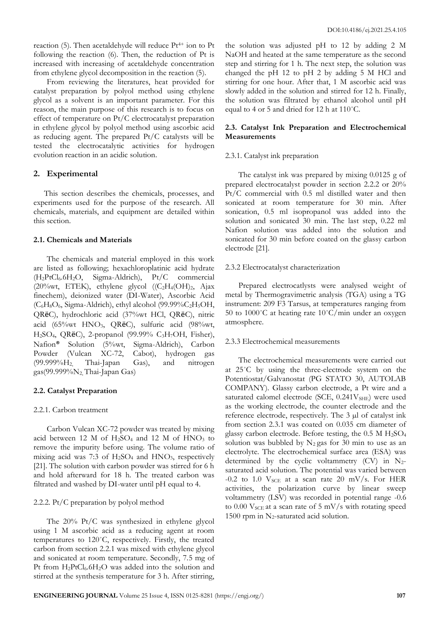reaction  $(5)$ . Then acetaldehyde will reduce Pt<sup>4+</sup> ion to Pt following the reaction (6). Then, the reduction of Pt is increased with increasing of acetaldehyde concentration from ethylene glycol decomposition in the reaction (5).

From reviewing the literatures, heat provided for catalyst preparation by polyol method using ethylene glycol as a solvent is an important parameter. For this reason, the main purpose of this research is to focus on effect of temperature on Pt/C electrocatalyst preparation in ethylene glycol by polyol method using ascorbic acid as reducing agent. The prepared Pt/C catalysts will be tested the electrocatalytic activities for hydrogen evolution reaction in an acidic solution.

#### **2. Experimental**

This section describes the chemicals, processes, and experiments used for the purpose of the research. All chemicals, materials, and equipment are detailed within this section.

#### **2.1. Chemicals and Materials**

The chemicals and material employed in this work are listed as following; hexachloroplatinic acid hydrate (H2PtCl6.6H2O, Sigma-Aldrich), Pt/C commercial (20%wt, ETEK), ethylene glycol  $((C_2H_4(OH)_2, A)ax)$ finechem), deionized water (DI-Water), Ascorbic Acid  $(C_6H_8O_6,$  Sigma-Aldrich), ethyl alcohol (99.99% $C_2H_5OH$ , QRëC), hydrochloric acid (37%wt HCl, QRëC), nitric acid (65%wt HNO3, QRëC), sulfuric acid (98%wt, H2SO4, QRëC), 2-propanol (99.99% C3H7OH, Fisher), Nafion® Solution (5%wt, Sigma-Aldrich), Carbon Powder (Vulcan XC-72, Cabot), hydrogen gas (99.999%H2, Thai-Japan Gas), and nitrogen gas(99.999% $N_2$ , Thai-Japan Gas)

#### **2.2. Catalyst Preparation**

#### 2.2.1. Carbon treatment

Carbon Vulcan XC-72 powder was treated by mixing acid between 12 M of  $H_2SO_4$  and 12 M of  $HNO_3$  to remove the impurity before using. The volume ratio of mixing acid was 7:3 of  $H<sub>2</sub>SO<sub>4</sub>$  and  $HNO<sub>3</sub>$ , respectively [21]. The solution with carbon powder was stirred for 6 h and hold afterward for 18 h. The treated carbon was filtrated and washed by DI-water until pH equal to 4.

#### 2.2.2. Pt/C preparation by polyol method

The 20% Pt/C was synthesized in ethylene glycol using 1 M ascorbic acid as a reducing agent at room temperatures to 120˚C, respectively. Firstly, the treated carbon from section 2.2.1 was mixed with ethylene glycol and sonicated at room temperature. Secondly, 7.5 mg of Pt from H<sub>2</sub>PtCl<sub>6</sub>.6H<sub>2</sub>O was added into the solution and stirred at the synthesis temperature for 3 h. After stirring,

the solution was adjusted pH to 12 by adding 2 M NaOH and heated at the same temperature as the second step and stirring for 1 h. The next step, the solution was changed the pH 12 to pH 2 by adding 5 M HCl and stirring for one hour. After that, 1 M ascorbic acid was slowly added in the solution and stirred for 12 h. Finally, the solution was filtrated by ethanol alcohol until pH equal to 4 or 5 and dried for 12 h at 110˚C.

### **2.3. Catalyst Ink Preparation and Electrochemical Measurements**

#### 2.3.1. Catalyst ink preparation

The catalyst ink was prepared by mixing 0.0125 g of prepared electrocatalyst powder in section 2.2.2 or 20% Pt/C commercial with 0.5 ml distilled water and then sonicated at room temperature for 30 min. After sonication, 0.5 ml isopropanol was added into the solution and sonicated 30 min. The last step, 0.22 ml Nafion solution was added into the solution and sonicated for 30 min before coated on the glassy carbon electrode [21].

#### 2.3.2 Electrocatalyst characterization

Prepared electrocatlysts were analysed weight of metal by Thermogravimetric analysis (TGA) using a TG instrument: 209 F3 Tarsus, at temperatures ranging from 50 to 1000 $^{\circ}$ C at heating rate 10 $^{\circ}$ C/min under an oxygen atmosphere.

#### 2.3.3 Electrochemical measurements

The electrochemical measurements were carried out at 25˚C by using the three-electrode system on the Potentiostat/Galvanostat (PG STATO 30, AUTOLAB COMPANY). Glassy carbon electrode, a Pt wire and a saturated calomel electrode (SCE, 0.241V<sub>SHE</sub>) were used as the working electrode, the counter electrode and the reference electrode, respectively. The 3 µl of catalyst ink from section 2.3.1 was coated on 0.035 cm diameter of glassy carbon electrode. Before testing, the  $0.5$  M  $H<sub>2</sub>SO<sub>4</sub>$ solution was bubbled by  $N_2$  gas for 30 min to use as an electrolyte. The electrochemical surface area (ESA) was determined by the cyclic voltammetry  $(CV)$  in N<sub>2</sub>saturated acid solution. The potential was varied between -0.2 to 1.0  $V_{SCE}$  at a scan rate 20 mV/s. For HER activities, the polarization curve by linear sweep voltammetry (LSV) was recorded in potential range -0.6 to  $0.00$  V<sub>SCE</sub> at a scan rate of 5 mV/s with rotating speed 1500 rpm in N2-saturated acid solution.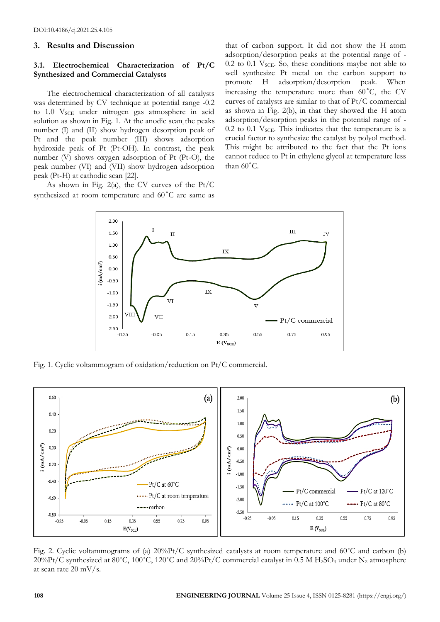#### **3. Results and Discussion**

#### **3.1. Electrochemical Characterization of Pt/C Synthesized and Commercial Catalysts**

The electrochemical characterization of all catalysts was determined by CV technique at potential range -0.2 to 1.0 V<sub>SCE</sub> under nitrogen gas atmosphere in acid solution as shown in Fig. 1. At the anodic scan, the peaks number (I) and (II) show hydrogen desorption peak of Pt and the peak number (III) shows adsorption hydroxide peak of Pt (Pt-OH). In contrast, the peak number (V) shows oxygen adsorption of Pt (Pt-O), the peak number (VI) and (VII) show hydrogen adsorption peak (Pt-H) at cathodic scan [22].

As shown in Fig. 2(a), the CV curves of the Pt/C synthesized at room temperature and 60˚C are same as

that of carbon support. It did not show the H atom adsorption/desorption peaks at the potential range of - 0.2 to 0.1  $V_{SCE}$ . So, these conditions maybe not able to well synthesize Pt metal on the carbon support to promote H adsorption/desorption peak. When increasing the temperature more than 60˚C, the CV curves of catalysts are similar to that of Pt/C commercial as shown in Fig. 2(b), in that they showed the H atom adsorption/desorption peaks in the potential range of -  $0.2$  to  $0.1$  V<sub>SCE</sub>. This indicates that the temperature is a crucial factor to synthesize the catalyst by polyol method. This might be attributed to the fact that the Pt ions cannot reduce to Pt in ethylene glycol at temperature less than 60˚C.



Fig. 1. Cyclic voltammogram of oxidation/reduction on Pt/C commercial.



Fig. 2. Cyclic voltammograms of (a)  $20\%$ Pt/C synthesized catalysts at room temperature and 60°C and carbon (b) 20%Pt/C synthesized at 80°C, 100°C, 120°C and 20%Pt/C commercial catalyst in 0.5 M H<sub>2</sub>SO<sub>4</sub> under N<sub>2</sub> atmosphere at scan rate 20 mV/s.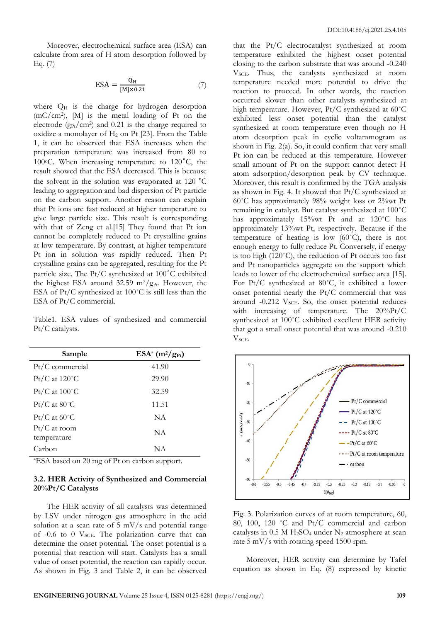Moreover, electrochemical surface area (ESA) can calculate from area of H atom desorption followed by Eq. (7)

$$
ESA = \frac{Q_H}{[M] \times 0.21} \tag{7}
$$

where  $Q_H$  is the charge for hydrogen desorption (mC/cm<sup>2</sup> ), [M] is the metal loading of Pt on the electrode  $(g_{Pt}/cm^2)$  and 0.21 is the charge required to oxidize a monolayer of  $H_2$  on Pt [23]. From the Table 1, it can be observed that ESA increases when the preparation temperature was increased from 80 to 100 $\degree$ C. When increasing temperature to 120 $\degree$ C, the result showed that the ESA decreased. This is because the solvent in the solution was evaporated at 120 ˚C leading to aggregation and bad dispersion of Pt particle on the carbon support. Another reason can explain that Pt ions are fast reduced at higher temperature to give large particle size. This result is corresponding with that of Zeng et al.[15] They found that Pt ion cannot be completely reduced to Pt crystalline grains at low temperature. By contrast, at higher temperature Pt ion in solution was rapidly reduced. Then Pt crystalline grains can be aggregated, resulting for the Pt particle size. The Pt/C synthesized at 100˚C exhibited the highest ESA around 32.59 m<sup>2</sup>/g<sub>Pt</sub>. However, the ESA of Pt/C synthesized at 100˚C is still less than the ESA of Pt/C commercial.

Table1. ESA values of synthesized and commercial Pt/C catalysts.

| Sample                        | $ESA^*(m^2/g_{Pt})$ |
|-------------------------------|---------------------|
| $Pt/C$ commercial             | 41.90               |
| $Pt/C$ at 120 $°C$            | 29.90               |
| $Pt/C$ at $100^{\circ}$ C     | 32.59               |
| $Pt/C$ at 80 $°C$             | 11.51               |
| $Pt/C$ at 60 $°C$             | <b>NA</b>           |
| $Pt/C$ at room<br>temperature | <b>NA</b>           |
| Carbon                        | NA                  |

\*ESA based on 20 mg of Pt on carbon support.

#### **3.2. HER Activity of Synthesized and Commercial 20%Pt/C Catalysts**

The HER activity of all catalysts was determined by LSV under nitrogen gas atmosphere in the acid solution at a scan rate of 5 mV/s and potential range of  $-0.6$  to  $0$  V<sub>SCE</sub>. The polarization curve that can determine the onset potential. The onset potential is a potential that reaction will start. Catalysts has a small value of onset potential, the reaction can rapidly occur. As shown in Fig. 3 and Table 2, it can be observed

that the Pt/C electrocatalyst synthesized at room temperature exhibited the highest onset potential closing to the carbon substrate that was around -0.240  $V<sub>SCE</sub>$ . Thus, the catalysts synthesized at room temperature needed more potential to drive the reaction to proceed. In other words, the reaction occurred slower than other catalysts synthesized at high temperature. However, Pt/C synthesized at 60˚C exhibited less onset potential than the catalyst synthesized at room temperature even though no H atom desorption peak in cyclic voltammogram as shown in Fig. 2(a). So, it could confirm that very small Pt ion can be reduced at this temperature. However small amount of Pt on the support cannot detect H atom adsorption/desorption peak by CV technique. Moreover, this result is confirmed by the TGA analysis as shown in Fig. 4. It showed that Pt/C synthesized at 60˚C has approximately 98% weight loss or 2%wt Pt remaining in catalyst. But catalyst synthesized at 100˚C has approximately 15%wt Pt and at 120°C has approximately 13%wt Pt, respectively. Because if the temperature of heating is low (60˚C), there is not enough energy to fully reduce Pt. Conversely, if energy is too high (120˚C), the reduction of Pt occurs too fast and Pt nanoparticles aggregate on the support which leads to lower of the electrochemical surface area [15]. For Pt/C synthesized at 80˚C, it exhibited a lower onset potential nearly the Pt/C commercial that was around -0.212 V<sub>SCE</sub>. So, the onset potential reduces with increasing of temperature. The 20%Pt/C synthesized at 100˚C exhibited excellent HER activity that got a small onset potential that was around -0.210 V<sub>SCE</sub>.



Fig. 3. Polarization curves of at room temperature, 60, 80, 100, 120 ˚C and Pt/C commercial and carbon catalysts in  $0.5$  M H<sub>2</sub>SO<sub>4</sub> under N<sub>2</sub> atmosphere at scan rate 5 mV/s with rotating speed 1500 rpm.

Moreover, HER activity can determine by Tafel equation as shown in Eq. (8) expressed by kinetic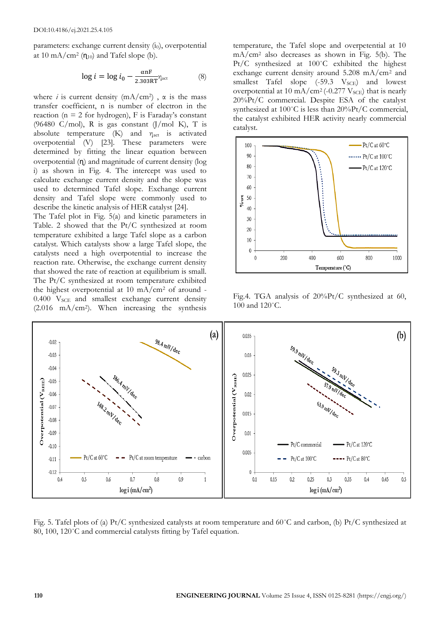parameters: exchange current density  $(i_0)$ , overpotential at 10 mA/cm<sup>2</sup>  $(\eta_{10})$  and Tafel slope (b).

$$
\log i = \log i_0 - \frac{\alpha nF}{2.303RT} \eta_{\text{act}} \tag{8}
$$

where *i* is current density  $(mA/cm^2)$ ,  $\alpha$  is the mass transfer coefficient, n is number of electron in the reaction ( $n = 2$  for hydrogen), F is Faraday's constant (96480 C/mol), R is gas constant  $(J/mol K)$ , T is absolute temperature  $(K)$  and  $\eta_{\text{act}}$  is activated overpotential (V) [23]. These parameters were determined by fitting the linear equation between overpotential (ɳ) and magnitude of current density (log i) as shown in Fig. 4. The intercept was used to calculate exchange current density and the slope was used to determined Tafel slope. Exchange current density and Tafel slope were commonly used to describe the kinetic analysis of HER catalyst [24].

The Tafel plot in Fig. 5(a) and kinetic parameters in Table. 2 showed that the Pt/C synthesized at room temperature exhibited a large Tafel slope as a carbon catalyst. Which catalysts show a large Tafel slope, the catalysts need a high overpotential to increase the reaction rate. Otherwise, the exchange current density that showed the rate of reaction at equilibrium is small. The Pt/C synthesized at room temperature exhibited the highest overpotential at 10 mA/ $\text{cm}^2$  of around - $0.400$  V<sub>SCE</sub> and smallest exchange current density (2.016 mA/cm<sup>2</sup> ). When increasing the synthesis temperature, the Tafel slope and overpetential at 10 mA/cm<sup>2</sup> also decreases as shown in Fig. 5(b). The Pt/C synthesized at 100˚C exhibited the highest exchange current density around  $5.208 \text{ mA/cm}^2$  and smallest Tafel slope  $(-59.3 \text{ V}_{SCE})$  and lowest overpotential at 10 mA/cm<sup>2</sup> (-0.277  $V<sub>SCE</sub>$ ) that is nearly 20%Pt/C commercial. Despite ESA of the catalyst synthesized at 100°C is less than 20%Pt/C commercial, the catalyst exhibited HER activity nearly commercial catalyst.



Fig.4. TGA analysis of 20%Pt/C synthesized at 60, 100 and 120˚C.



Fig. 5. Tafel plots of (a) Pt/C synthesized catalysts at room temperature and 60°C and carbon, (b) Pt/C synthesized at 80, 100, 120°C and commercial catalysts fitting by Tafel equation.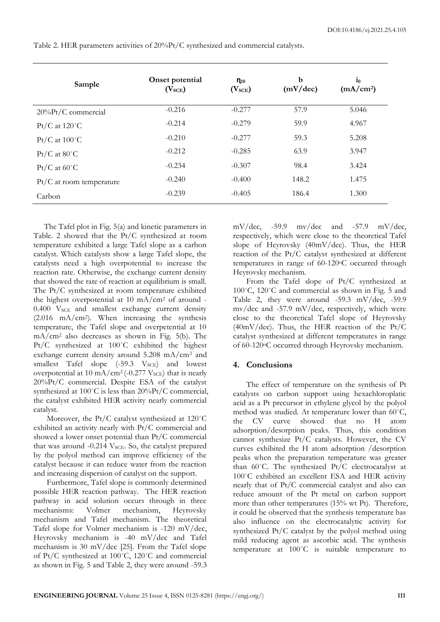**Sample Onset potential (VSCE) ɳ<sup>10</sup> (VSCE) b (mV/dec)**  $\mathbf{i}_0$ **(mA/cm2)** 20%Pt/C commercial -0.216 -0.277 57.9 5.046  $Pt/C$  at  $120^{\circ}$ C  $-0.214$   $-0.279$  59.9  $4.967$  $Pt/C$  at  $100^{\circ}$ C  $-0.210$   $-0.277$  59.3 5.208 Pt/C at 80°C  $-0.212$   $-0.285$  63.9 3.947 Pt/C at  $60^{\circ}$ C  $-0.234$   $-0.307$  98.4 3.424 Pt/C at room temperature  $-0.240$   $-0.400$  148.2 1.475 Carbon -0.239 -0.405 186.4 1.300

Table 2. HER parameters activities of 20%Pt/C synthesized and commercial catalysts.

The Tafel plot in Fig. 5(a) and kinetic parameters in Table. 2 showed that the Pt/C synthesized at room temperature exhibited a large Tafel slope as a carbon catalyst. Which catalysts show a large Tafel slope, the catalysts need a high overpotential to increase the reaction rate. Otherwise, the exchange current density that showed the rate of reaction at equilibrium is small. The Pt/C synthesized at room temperature exhibited the highest overpotential at 10 mA/ $\text{cm}^2$  of around - $0.400$  V<sub>SCE</sub> and smallest exchange current density (2.016 mA/cm<sup>2</sup> ). When increasing the synthesis temperature, the Tafel slope and overpetential at 10 mA/cm<sup>2</sup> also decreases as shown in Fig. 5(b). The Pt/C synthesized at 100˚C exhibited the highest exchange current density around 5.208 mA/cm<sup>2</sup> and smallest Tafel slope  $(-59.3 \text{ V}_{SCE})$  and lowest overpotential at 10 mA/cm<sup>2</sup> (-0.277  $V_{\text{SCE}}$ ) that is nearly 20%Pt/C commercial. Despite ESA of the catalyst synthesized at 100°C is less than 20%Pt/C commercial, the catalyst exhibited HER activity nearly commercial catalyst.

Moreover, the Pt/C catalyst synthesized at 120˚C exhibited an activity nearly with Pt/C commercial and showed a lower onset potential than Pt/C commercial that was around -0.214 V<sub>SCE</sub>. So, the catalyst prepared by the polyol method can improve efficiency of the catalyst because it can reduce water from the reaction and increasing dispersion of catalyst on the support.

Furthermore, Tafel slope is commonly determined possible HER reaction pathway. The HER reaction pathway in acid solution occurs through in three mechanisms: Volmer mechanism, Heyrovsky mechanism and Tafel mechanism. The theoretical Tafel slope for Volmer mechanism is -120 mV/dec, Heyrovsky mechanism is -40 mV/dec and Tafel mechanism is 30 mV/dec [25]. From the Tafel slope of Pt/C synthesized at 100˚C, 120˚C and commercial as shown in Fig. 5 and Table 2, they were around -59.3

mV/dec, -59.9 mv/dec and -57.9 mV/dec, respectively, which were close to the theoretical Tafel slope of Heyrovsky (40mV/dec). Thus, the HER reaction of the Pt/C catalyst synthesized at different temperatures in range of 60-120°C occurred through Heyrovsky mechanism.

From the Tafel slope of Pt/C synthesized at 100˚C, 120˚C and commercial as shown in Fig. 5 and Table 2, they were around -59.3 mV/dec, -59.9 mv/dec and -57.9 mV/dec, respectively, which were close to the theoretical Tafel slope of Heyrovsky (40mV/dec). Thus, the HER reaction of the Pt/C catalyst synthesized at different temperatures in range of 60-120oC occurred through Heyrovsky mechanism.

## **4. Conclusions**

The effect of temperature on the synthesis of Pt catalysts on carbon support using hexachloroplatic acid as a Pt precursor in ethylene glycol by the polyol method was studied. At temperature lower than 60˚C, the CV curve showed that no H atom adsorption/desorption peaks. Thus, this condition cannot synthesize Pt/C catalysts. However, the CV curves exhibited the H atom adsorption /desorption peaks when the preparation temperature was greater than  $60^{\circ}$ C. The synthesized Pt/C electrocatalyst at 100˚C exhibited an excellent ESA and HER activity nearly that of Pt/C commercial catalyst and also can reduce amount of the Pt metal on carbon support more than other temperatures (15% wt Pt). Therefore, it could be observed that the synthesis temperature has also influence on the electrocatalytic activity for synthesized Pt/C catalyst by the polyol method using mild reducing agent as ascorbic acid. The synthesis temperature at 100˚C is suitable temperature to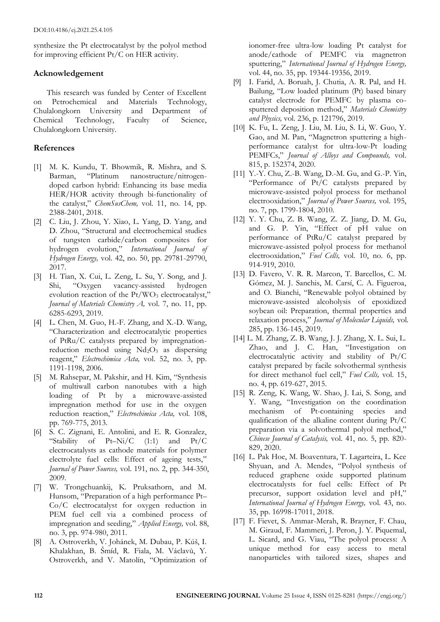synthesize the Pt electrocatalyst by the polyol method for improving efficient Pt/C on HER activity.

## **Acknowledgement**

This research was funded by Center of Excellent on Petrochemical and Materials Technology, Chulalongkorn University and Department of Chemical Technology, Faculty of Science, Chulalongkorn University.

## **References**

- [1] M. K. Kundu, T. Bhowmik, R. Mishra, and S. Barman, "Platinum nanostructure/nitrogendoped carbon hybrid: Enhancing its base media HER/HOR activity through bi-functionality of the catalyst," *ChemSusChem,* vol. 11, no. 14, pp. 2388-2401, 2018.
- [2] C. Liu, J. Zhou, Y. Xiao, L. Yang, D. Yang, and D. Zhou, "Structural and electrochemical studies of tungsten carbide/carbon composites for hydrogen evolution," *International Journal of Hydrogen Energy,* vol. 42, no. 50, pp. 29781-29790, 2017.
- [3] H. Tian, X. Cui, L. Zeng, L. Su, Y. Song, and J. Shi, "Oxygen vacancy-assisted hydrogen evolution reaction of the  $Pt/WO_3$  electrocatalyst," *Journal of Materials Chemistry A,* vol. 7, no. 11, pp. 6285-6293, 2019.
- [4] L. Chen, M. Guo, H.-F. Zhang, and X.-D. Wang, "Characterization and electrocatalytic properties of PtRu/C catalysts prepared by impregnationreduction method using  $Nd_2O_3$  as dispersing reagent," *Electrochimica Acta,* vol. 52, no. 3, pp. 1191-1198, 2006.
- [5] M. Rahsepar, M. Pakshir, and H. Kim, "Synthesis of multiwall carbon nanotubes with a high loading of Pt by a microwave-assisted impregnation method for use in the oxygen reduction reaction," *Electrochimica Acta,* vol. 108, pp. 769-775, 2013.
- [6] S. C. Zignani, E. Antolini, and E. R. Gonzalez, "Stability of Pt–Ni/C (1:1) and Pt/C electrocatalysts as cathode materials for polymer electrolyte fuel cells: Effect of ageing tests," *Journal of Power Sources,* vol. 191, no. 2, pp. 344-350, 2009.
- [7] W. Trongchuankij, K. Pruksathorn, and M. Hunsom, "Preparation of a high performance Pt– Co/C electrocatalyst for oxygen reduction in PEM fuel cell via a combined process of impregnation and seeding," *Applied Energy,* vol. 88, no. 3, pp. 974-980, 2011.
- [8] A. Ostroverkh, V. Johánek, M. Dubau, P. Kúš, I. Khalakhan, B. Šmíd, R. Fiala, M. Václavů, Y. Ostroverkh, and V. Matolín, "Optimization of

ionomer-free ultra-low loading Pt catalyst for anode/cathode of PEMFC via magnetron sputtering," *International Journal of Hydrogen Energy,* vol. 44, no. 35, pp. 19344-19356, 2019.

- [9] I. Farid, A. Boruah, J. Chutia, A. R. Pal, and H. Bailung, "Low loaded platinum (Pt) based binary catalyst electrode for PEMFC by plasma cosputtered deposition method," *Materials Chemistry and Physics,* vol. 236, p. 121796, 2019.
- [10] K. Fu, L. Zeng, J. Liu, M. Liu, S. Li, W. Guo, Y. Gao, and M. Pan, "Magnetron sputtering a highperformance catalyst for ultra-low-Pt loading PEMFCs," *Journal of Alloys and Compounds,* vol. 815, p. 152374, 2020.
- [11] Y.-Y. Chu, Z.-B. Wang, D.-M. Gu, and G.-P. Yin, "Performance of Pt/C catalysts prepared by microwave-assisted polyol process for methanol electrooxidation," *Journal of Power Sources,* vol. 195, no. 7, pp. 1799-1804, 2010.
- [12] Y. Y. Chu, Z. B. Wang, Z. Z. Jiang, D. M. Gu, and G. P. Yin, "Effect of pH value on performance of PtRu/C catalyst prepared by microwave-assisted polyol process for methanol electrooxidation," *Fuel Cells,* vol. 10, no. 6, pp. 914-919, 2010.
- [13] D. Favero, V. R. R. Marcon, T. Barcellos, C. M. Gómez, M. J. Sanchis, M. Carsí, C. A. Figueroa, and O. Bianchi, "Renewable polyol obtained by microwave-assisted alcoholysis of epoxidized soybean oil: Preparation, thermal properties and relaxation process," *Journal of Molecular Liquids,* vol. 285, pp. 136-145, 2019.
- [14] L. M. Zhang, Z. B. Wang, J. J. Zhang, X. L. Sui, L. Zhao, and J. C. Han, "Investigation on electrocatalytic activity and stability of Pt/C catalyst prepared by facile solvothermal synthesis for direct methanol fuel cell," *Fuel Cells,* vol. 15, no. 4, pp. 619-627, 2015.
- [15] R. Zeng, K. Wang, W. Shao, J. Lai, S. Song, and Y. Wang, "Investigation on the coordination mechanism of Pt-containing species and qualification of the alkaline content during Pt/C preparation via a solvothermal polyol method," *Chinese Journal of Catalysis,* vol. 41, no. 5, pp. 820- 829, 2020.
- [16] L. Pak Hoe, M. Boaventura, T. Lagarteira, L. Kee Shyuan, and A. Mendes, "Polyol synthesis of reduced graphene oxide supported platinum electrocatalysts for fuel cells: Effect of Pt precursor, support oxidation level and pH," *International Journal of Hydrogen Energy,* vol. 43, no. 35, pp. 16998-17011, 2018.
- [17] F. Fievet, S. Ammar-Merah, R. Brayner, F. Chau, M. Giraud, F. Mammeri, J. Peron, J. Y. Piquemal, L. Sicard, and G. Viau, "The polyol process: A unique method for easy access to metal nanoparticles with tailored sizes, shapes and